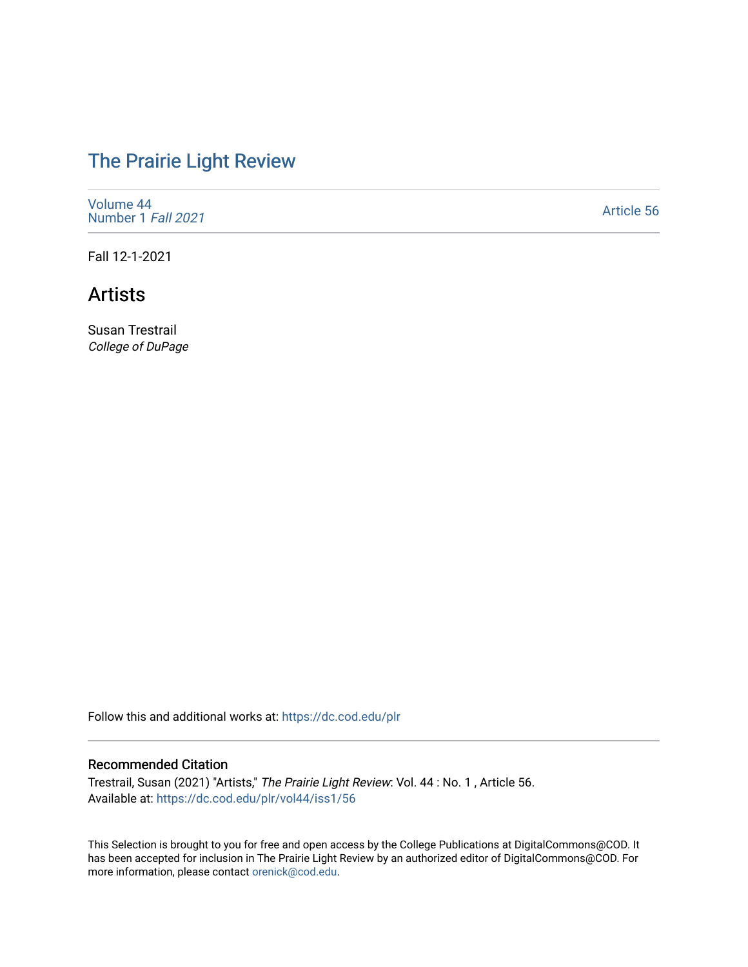# [The Prairie Light Review](https://dc.cod.edu/plr)

[Volume 44](https://dc.cod.edu/plr/vol44) [Number 1](https://dc.cod.edu/plr/vol44/iss1) Fall 2021

[Article 56](https://dc.cod.edu/plr/vol44/iss1/56) 

Fall 12-1-2021

## Artists

Susan Trestrail College of DuPage

Follow this and additional works at: [https://dc.cod.edu/plr](https://dc.cod.edu/plr?utm_source=dc.cod.edu%2Fplr%2Fvol44%2Fiss1%2F56&utm_medium=PDF&utm_campaign=PDFCoverPages) 

#### Recommended Citation

Trestrail, Susan (2021) "Artists," The Prairie Light Review: Vol. 44 : No. 1 , Article 56. Available at: [https://dc.cod.edu/plr/vol44/iss1/56](https://dc.cod.edu/plr/vol44/iss1/56?utm_source=dc.cod.edu%2Fplr%2Fvol44%2Fiss1%2F56&utm_medium=PDF&utm_campaign=PDFCoverPages)

This Selection is brought to you for free and open access by the College Publications at DigitalCommons@COD. It has been accepted for inclusion in The Prairie Light Review by an authorized editor of DigitalCommons@COD. For more information, please contact [orenick@cod.edu.](mailto:orenick@cod.edu)